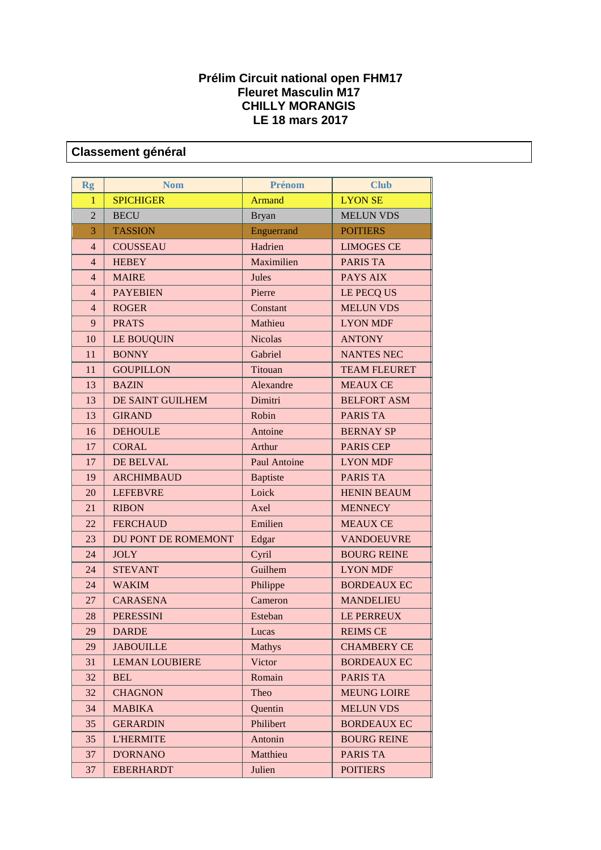## **Prélim Circuit national open FHM17 Fleuret Masculin M17 CHILLY MORANGIS LE 18 mars 2017**

## **Classement général**

| <b>Rg</b>      | <b>Nom</b>            | Prénom              | <b>Club</b>         |
|----------------|-----------------------|---------------------|---------------------|
| 1              | <b>SPICHIGER</b>      | <b>Armand</b>       | <b>LYON SE</b>      |
| $\overline{2}$ | <b>BECU</b>           | <b>Bryan</b>        | <b>MELUN VDS</b>    |
| 3              | <b>TASSION</b>        | Enguerrand          | <b>POITIERS</b>     |
| $\overline{4}$ | <b>COUSSEAU</b>       | Hadrien             | <b>LIMOGES CE</b>   |
| $\overline{4}$ | <b>HEBEY</b>          | Maximilien          | <b>PARIS TA</b>     |
| $\overline{4}$ | <b>MAIRE</b>          | Jules               | <b>PAYS AIX</b>     |
| $\overline{4}$ | <b>PAYEBIEN</b>       | Pierre              | LE PECQ US          |
| $\overline{4}$ | <b>ROGER</b>          | Constant            | <b>MELUN VDS</b>    |
| 9              | <b>PRATS</b>          | Mathieu             | <b>LYON MDF</b>     |
| 10             | <b>LE BOUQUIN</b>     | <b>Nicolas</b>      | <b>ANTONY</b>       |
| 11             | <b>BONNY</b>          | Gabriel             | <b>NANTES NEC</b>   |
| 11             | <b>GOUPILLON</b>      | Titouan             | <b>TEAM FLEURET</b> |
| 13             | <b>BAZIN</b>          | Alexandre           | <b>MEAUX CE</b>     |
| 13             | DE SAINT GUILHEM      | Dimitri             | <b>BELFORT ASM</b>  |
| 13             | <b>GIRAND</b>         | Robin               | <b>PARIS TA</b>     |
| 16             | <b>DEHOULE</b>        | Antoine             | <b>BERNAY SP</b>    |
| 17             | <b>CORAL</b>          | Arthur              | <b>PARIS CEP</b>    |
| 17             | DE BELVAL             | <b>Paul Antoine</b> | <b>LYON MDF</b>     |
| 19             | <b>ARCHIMBAUD</b>     | <b>Baptiste</b>     | <b>PARIS TA</b>     |
| 20             | <b>LEFEBVRE</b>       | Loick               | <b>HENIN BEAUM</b>  |
| 21             | <b>RIBON</b>          | Axel                | <b>MENNECY</b>      |
| 22             | <b>FERCHAUD</b>       | Emilien             | <b>MEAUX CE</b>     |
| 23             | DU PONT DE ROMEMONT   | Edgar               | <b>VANDOEUVRE</b>   |
| 24             | <b>JOLY</b>           | Cyril               | <b>BOURG REINE</b>  |
| 24             | <b>STEVANT</b>        | Guilhem             | <b>LYON MDF</b>     |
| 24             | <b>WAKIM</b>          | Philippe            | <b>BORDEAUX EC</b>  |
| 27             | <b>CARASENA</b>       | Cameron             | <b>MANDELIEU</b>    |
| 28             | <b>PERESSINI</b>      | Esteban             | LE PERREUX          |
| 29             | <b>DARDE</b>          | Lucas               | <b>REIMS CE</b>     |
| 29             | <b>JABOUILLE</b>      | <b>Mathys</b>       | <b>CHAMBERY CE</b>  |
| 31             | <b>LEMAN LOUBIERE</b> | Victor              | <b>BORDEAUX EC</b>  |
| 32             | <b>BEL</b>            | Romain              | <b>PARIS TA</b>     |
| 32             | <b>CHAGNON</b>        | Theo                | <b>MEUNG LOIRE</b>  |
| 34             | <b>MABIKA</b>         | Quentin             | <b>MELUN VDS</b>    |
| 35             | <b>GERARDIN</b>       | Philibert           | <b>BORDEAUX EC</b>  |
| 35             | <b>L'HERMITE</b>      | Antonin             | <b>BOURG REINE</b>  |
| 37             | <b>D'ORNANO</b>       | Matthieu            | PARIS TA            |
| 37             | <b>EBERHARDT</b>      | Julien              | <b>POITIERS</b>     |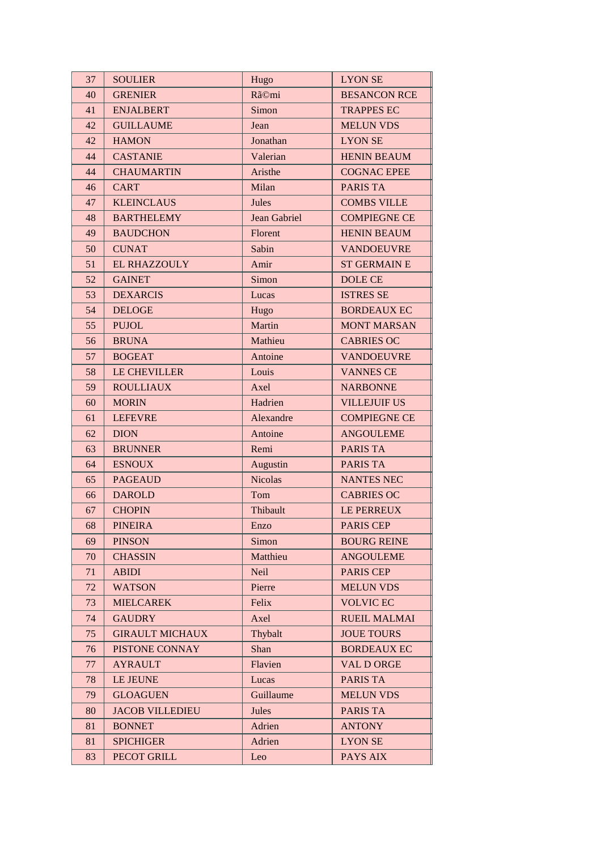| 37 | <b>SOULIER</b>         | Hugo           | <b>LYON SE</b>      |
|----|------------------------|----------------|---------------------|
| 40 | <b>GRENIER</b>         | Rã©mi          | <b>BESANCON RCE</b> |
| 41 | <b>ENJALBERT</b>       | Simon          | <b>TRAPPES EC</b>   |
| 42 | <b>GUILLAUME</b>       | Jean           | <b>MELUN VDS</b>    |
| 42 | <b>HAMON</b>           | Jonathan       | <b>LYON SE</b>      |
| 44 | <b>CASTANIE</b>        | Valerian       | <b>HENIN BEAUM</b>  |
| 44 | <b>CHAUMARTIN</b>      | Aristhe        | <b>COGNAC EPEE</b>  |
| 46 | <b>CART</b>            | Milan          | <b>PARIS TA</b>     |
| 47 | <b>KLEINCLAUS</b>      | Jules          | <b>COMBS VILLE</b>  |
| 48 | <b>BARTHELEMY</b>      | Jean Gabriel   | <b>COMPIEGNE CE</b> |
| 49 | <b>BAUDCHON</b>        | Florent        | <b>HENIN BEAUM</b>  |
| 50 | <b>CUNAT</b>           | Sabin          | <b>VANDOEUVRE</b>   |
| 51 | <b>EL RHAZZOULY</b>    | Amir           | <b>ST GERMAIN E</b> |
| 52 | <b>GAINET</b>          | Simon          | <b>DOLE CE</b>      |
| 53 | <b>DEXARCIS</b>        | Lucas          | <b>ISTRES SE</b>    |
| 54 | <b>DELOGE</b>          | Hugo           | <b>BORDEAUX EC</b>  |
| 55 | <b>PUJOL</b>           | Martin         | <b>MONT MARSAN</b>  |
| 56 | <b>BRUNA</b>           | Mathieu        | <b>CABRIES OC</b>   |
| 57 | <b>BOGEAT</b>          | Antoine        | <b>VANDOEUVRE</b>   |
| 58 | <b>LE CHEVILLER</b>    | Louis          | <b>VANNES CE</b>    |
| 59 | <b>ROULLIAUX</b>       | Axel           | <b>NARBONNE</b>     |
| 60 | <b>MORIN</b>           | Hadrien        | <b>VILLEJUIF US</b> |
| 61 | <b>LEFEVRE</b>         | Alexandre      | <b>COMPIEGNE CE</b> |
| 62 | <b>DION</b>            | Antoine        | <b>ANGOULEME</b>    |
| 63 | <b>BRUNNER</b>         | Remi           | <b>PARIS TA</b>     |
| 64 | <b>ESNOUX</b>          | Augustin       | <b>PARIS TA</b>     |
| 65 | <b>PAGEAUD</b>         | <b>Nicolas</b> | <b>NANTES NEC</b>   |
| 66 | <b>DAROLD</b>          | Tom            | <b>CABRIES OC</b>   |
| 67 | <b>CHOPIN</b>          | Thibault       | LE PERREUX          |
| 68 | <b>PINEIRA</b>         | Enzo           | PARIS CEP           |
| 69 | <b>PINSON</b>          | Simon          | <b>BOURG REINE</b>  |
| 70 | <b>CHASSIN</b>         | Matthieu       | <b>ANGOULEME</b>    |
| 71 | <b>ABIDI</b>           | Neil           | <b>PARIS CEP</b>    |
| 72 | <b>WATSON</b>          | Pierre         | <b>MELUN VDS</b>    |
| 73 | <b>MIELCAREK</b>       | Felix          | <b>VOLVIC EC</b>    |
| 74 | <b>GAUDRY</b>          | Axel           | <b>RUEIL MALMAI</b> |
| 75 | <b>GIRAULT MICHAUX</b> | Thybalt        | <b>JOUE TOURS</b>   |
| 76 | PISTONE CONNAY         | Shan           | <b>BORDEAUX EC</b>  |
| 77 | <b>AYRAULT</b>         | Flavien        | <b>VAL D ORGE</b>   |
| 78 | LE JEUNE               | Lucas          | <b>PARIS TA</b>     |
| 79 | <b>GLOAGUEN</b>        | Guillaume      | <b>MELUN VDS</b>    |
| 80 | <b>JACOB VILLEDIEU</b> | Jules          | <b>PARIS TA</b>     |
| 81 | <b>BONNET</b>          | Adrien         | <b>ANTONY</b>       |
| 81 | <b>SPICHIGER</b>       | Adrien         | <b>LYON SE</b>      |
| 83 | PECOT GRILL            | Leo            | PAYS AIX            |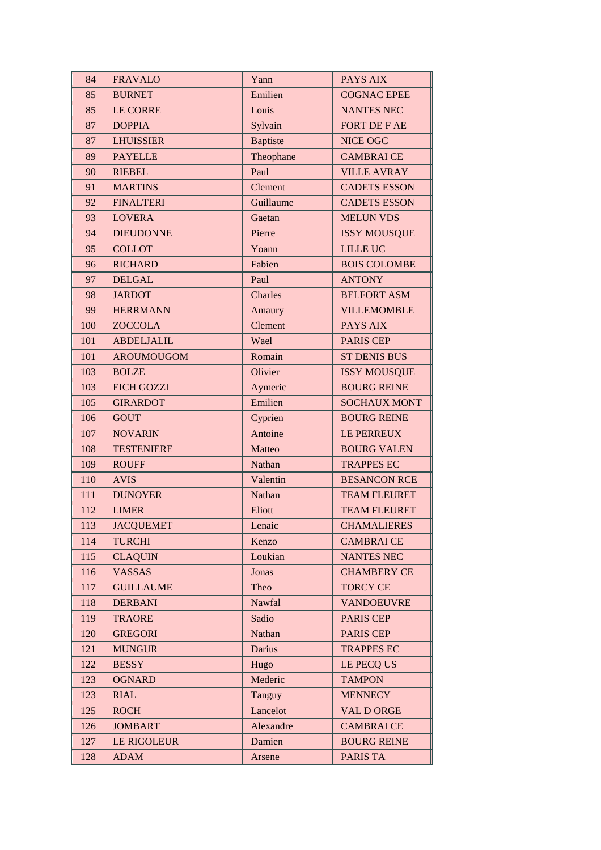| 84  | <b>FRAVALO</b>     | Yann            | PAYS AIX            |
|-----|--------------------|-----------------|---------------------|
| 85  | <b>BURNET</b>      | Emilien         | <b>COGNAC EPEE</b>  |
| 85  | <b>LE CORRE</b>    | Louis           | <b>NANTES NEC</b>   |
| 87  | <b>DOPPIA</b>      | Sylvain         | <b>FORT DE F AE</b> |
| 87  | <b>LHUISSIER</b>   | <b>Baptiste</b> | <b>NICE OGC</b>     |
| 89  | <b>PAYELLE</b>     | Theophane       | <b>CAMBRAI CE</b>   |
| 90  | <b>RIEBEL</b>      | Paul            | <b>VILLE AVRAY</b>  |
| 91  | <b>MARTINS</b>     | Clement         | <b>CADETS ESSON</b> |
| 92  | <b>FINALTERI</b>   | Guillaume       | <b>CADETS ESSON</b> |
| 93  | <b>LOVERA</b>      | Gaetan          | <b>MELUN VDS</b>    |
| 94  | <b>DIEUDONNE</b>   | Pierre          | <b>ISSY MOUSQUE</b> |
| 95  | <b>COLLOT</b>      | Yoann           | <b>LILLE UC</b>     |
| 96  | <b>RICHARD</b>     | Fabien          | <b>BOIS COLOMBE</b> |
| 97  | <b>DELGAL</b>      | Paul            | <b>ANTONY</b>       |
| 98  | <b>JARDOT</b>      | Charles         | <b>BELFORT ASM</b>  |
| 99  | <b>HERRMANN</b>    | Amaury          | <b>VILLEMOMBLE</b>  |
| 100 | <b>ZOCCOLA</b>     | Clement         | <b>PAYS AIX</b>     |
| 101 | <b>ABDELJALIL</b>  | Wael            | <b>PARIS CEP</b>    |
| 101 | <b>AROUMOUGOM</b>  | Romain          | <b>ST DENIS BUS</b> |
| 103 | <b>BOLZE</b>       | Olivier         | <b>ISSY MOUSQUE</b> |
| 103 | <b>EICH GOZZI</b>  | Aymeric         | <b>BOURG REINE</b>  |
| 105 | <b>GIRARDOT</b>    | Emilien         | <b>SOCHAUX MONT</b> |
| 106 | <b>GOUT</b>        | Cyprien         | <b>BOURG REINE</b>  |
| 107 | <b>NOVARIN</b>     | Antoine         | LE PERREUX          |
| 108 | <b>TESTENIERE</b>  | Matteo          | <b>BOURG VALEN</b>  |
| 109 | <b>ROUFF</b>       | Nathan          | <b>TRAPPES EC</b>   |
| 110 | <b>AVIS</b>        | Valentin        | <b>BESANCON RCE</b> |
| 111 | <b>DUNOYER</b>     | Nathan          | <b>TEAM FLEURET</b> |
| 112 | <b>LIMER</b>       | Eliott          | <b>TEAM FLEURET</b> |
| 113 | <b>JACQUEMET</b>   | Lenaic          | <b>CHAMALIERES</b>  |
| 114 | <b>TURCHI</b>      | Kenzo           | <b>CAMBRAI CE</b>   |
| 115 | <b>CLAQUIN</b>     | Loukian         | <b>NANTES NEC</b>   |
| 116 | <b>VASSAS</b>      | Jonas           | <b>CHAMBERY CE</b>  |
| 117 | <b>GUILLAUME</b>   | Theo            | <b>TORCY CE</b>     |
| 118 | <b>DERBANI</b>     | Nawfal          | <b>VANDOEUVRE</b>   |
| 119 | <b>TRAORE</b>      | Sadio           | <b>PARIS CEP</b>    |
| 120 | <b>GREGORI</b>     | Nathan          | <b>PARIS CEP</b>    |
| 121 | <b>MUNGUR</b>      | <b>Darius</b>   | <b>TRAPPES EC</b>   |
| 122 | <b>BESSY</b>       | Hugo            | LE PECQ US          |
| 123 | <b>OGNARD</b>      | Mederic         | <b>TAMPON</b>       |
| 123 | <b>RIAL</b>        | Tanguy          | <b>MENNECY</b>      |
| 125 | <b>ROCH</b>        | Lancelot        | <b>VAL D ORGE</b>   |
| 126 | <b>JOMBART</b>     | Alexandre       | <b>CAMBRAICE</b>    |
| 127 | <b>LE RIGOLEUR</b> | Damien          | <b>BOURG REINE</b>  |
| 128 | <b>ADAM</b>        | Arsene          | PARIS TA            |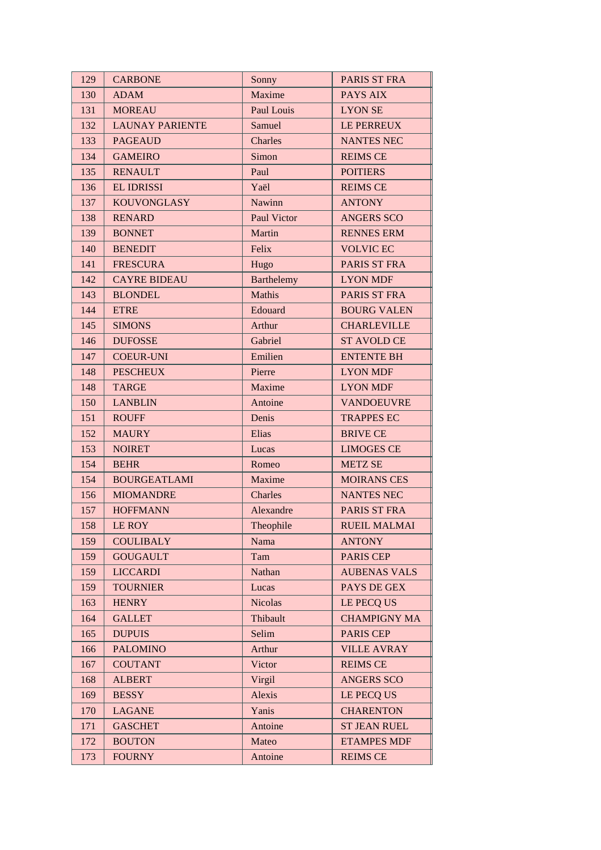| 129 | <b>CARBONE</b>         | Sonny              | PARIS ST FRA        |
|-----|------------------------|--------------------|---------------------|
| 130 | <b>ADAM</b>            | Maxime             | PAYS AIX            |
| 131 | <b>MOREAU</b>          | Paul Louis         | <b>LYON SE</b>      |
| 132 | <b>LAUNAY PARIENTE</b> | Samuel             | <b>LE PERREUX</b>   |
| 133 | <b>PAGEAUD</b>         | Charles            | <b>NANTES NEC</b>   |
| 134 | <b>GAMEIRO</b>         | Simon              | <b>REIMS CE</b>     |
| 135 | <b>RENAULT</b>         | Paul               | <b>POITIERS</b>     |
| 136 | <b>EL IDRISSI</b>      | Yaël               | <b>REIMS CE</b>     |
| 137 | <b>KOUVONGLASY</b>     | <b>Nawinn</b>      | <b>ANTONY</b>       |
| 138 | <b>RENARD</b>          | <b>Paul Victor</b> | <b>ANGERS SCO</b>   |
| 139 | <b>BONNET</b>          | Martin             | <b>RENNES ERM</b>   |
| 140 | <b>BENEDIT</b>         | Felix              | <b>VOLVIC EC</b>    |
| 141 | <b>FRESCURA</b>        | Hugo               | PARIS ST FRA        |
| 142 | <b>CAYRE BIDEAU</b>    | Barthelemy         | <b>LYON MDF</b>     |
| 143 | <b>BLONDEL</b>         | Mathis             | PARIS ST FRA        |
| 144 | <b>ETRE</b>            | Edouard            | <b>BOURG VALEN</b>  |
| 145 | <b>SIMONS</b>          | Arthur             | <b>CHARLEVILLE</b>  |
| 146 | <b>DUFOSSE</b>         | Gabriel            | <b>ST AVOLD CE</b>  |
| 147 | <b>COEUR-UNI</b>       | Emilien            | <b>ENTENTE BH</b>   |
| 148 | <b>PESCHEUX</b>        | Pierre             | <b>LYON MDF</b>     |
| 148 | <b>TARGE</b>           | Maxime             | <b>LYON MDF</b>     |
| 150 | <b>LANBLIN</b>         | Antoine            | <b>VANDOEUVRE</b>   |
| 151 | <b>ROUFF</b>           | Denis              | <b>TRAPPES EC</b>   |
| 152 | <b>MAURY</b>           | Elias              | <b>BRIVE CE</b>     |
| 153 | <b>NOIRET</b>          | Lucas              | <b>LIMOGES CE</b>   |
| 154 | <b>BEHR</b>            | Romeo              | <b>METZ SE</b>      |
| 154 | <b>BOURGEATLAMI</b>    | Maxime             | <b>MOIRANS CES</b>  |
| 156 | <b>MIOMANDRE</b>       | Charles            | <b>NANTES NEC</b>   |
| 157 | <b>HOFFMANN</b>        | Alexandre          | PARIS ST FRA        |
| 158 | LE ROY                 | Theophile          | <b>RUEIL MALMAI</b> |
| 159 | <b>COULIBALY</b>       | Nama               | <b>ANTONY</b>       |
| 159 | <b>GOUGAULT</b>        | Tam                | <b>PARIS CEP</b>    |
| 159 | <b>LICCARDI</b>        | Nathan             | <b>AUBENAS VALS</b> |
| 159 | <b>TOURNIER</b>        | Lucas              | PAYS DE GEX         |
| 163 | <b>HENRY</b>           | <b>Nicolas</b>     | LE PECQ US          |
| 164 | <b>GALLET</b>          | Thibault           | <b>CHAMPIGNY MA</b> |
| 165 | <b>DUPUIS</b>          | Selim              | <b>PARIS CEP</b>    |
| 166 | <b>PALOMINO</b>        | Arthur             | <b>VILLE AVRAY</b>  |
| 167 | <b>COUTANT</b>         | Victor             | <b>REIMS CE</b>     |
| 168 | <b>ALBERT</b>          | Virgil             | <b>ANGERS SCO</b>   |
| 169 | <b>BESSY</b>           | Alexis             | LE PECQ US          |
| 170 | <b>LAGANE</b>          | Yanis              | <b>CHARENTON</b>    |
| 171 | <b>GASCHET</b>         | Antoine            | <b>ST JEAN RUEL</b> |
| 172 | <b>BOUTON</b>          | Mateo              | <b>ETAMPES MDF</b>  |
| 173 | <b>FOURNY</b>          | Antoine            | <b>REIMS CE</b>     |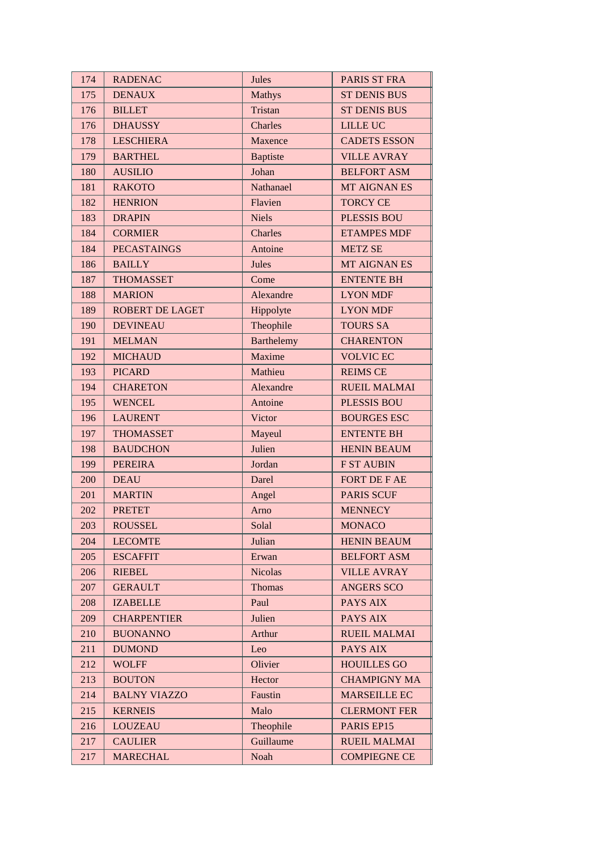| 174 | <b>RADENAC</b>         | Jules             | <b>PARIS ST FRA</b> |
|-----|------------------------|-------------------|---------------------|
| 175 | <b>DENAUX</b>          | <b>Mathys</b>     | <b>ST DENIS BUS</b> |
| 176 | <b>BILLET</b>          | Tristan           | <b>ST DENIS BUS</b> |
| 176 | <b>DHAUSSY</b>         | Charles           | <b>LILLE UC</b>     |
| 178 | <b>LESCHIERA</b>       | Maxence           | <b>CADETS ESSON</b> |
| 179 | <b>BARTHEL</b>         | <b>Baptiste</b>   | <b>VILLE AVRAY</b>  |
| 180 | <b>AUSILIO</b>         | Johan             | <b>BELFORT ASM</b>  |
| 181 | <b>RAKOTO</b>          | Nathanael         | MT AIGNAN ES        |
| 182 | <b>HENRION</b>         | Flavien           | <b>TORCY CE</b>     |
| 183 | <b>DRAPIN</b>          | <b>Niels</b>      | <b>PLESSIS BOU</b>  |
| 184 | <b>CORMIER</b>         | Charles           | <b>ETAMPES MDF</b>  |
| 184 | <b>PECASTAINGS</b>     | Antoine           | <b>METZ SE</b>      |
| 186 | <b>BAILLY</b>          | Jules             | MT AIGNAN ES        |
| 187 | <b>THOMASSET</b>       | Come              | <b>ENTENTE BH</b>   |
| 188 | <b>MARION</b>          | Alexandre         | <b>LYON MDF</b>     |
| 189 | <b>ROBERT DE LAGET</b> | Hippolyte         | <b>LYON MDF</b>     |
| 190 | <b>DEVINEAU</b>        | Theophile         | <b>TOURS SA</b>     |
| 191 | <b>MELMAN</b>          | <b>Barthelemy</b> | <b>CHARENTON</b>    |
| 192 | <b>MICHAUD</b>         | Maxime            | <b>VOLVIC EC</b>    |
| 193 | <b>PICARD</b>          | Mathieu           | <b>REIMS CE</b>     |
| 194 | <b>CHARETON</b>        | Alexandre         | <b>RUEIL MALMAI</b> |
| 195 | <b>WENCEL</b>          | Antoine           | <b>PLESSIS BOU</b>  |
| 196 | <b>LAURENT</b>         | Victor            | <b>BOURGES ESC</b>  |
| 197 | <b>THOMASSET</b>       | Mayeul            | <b>ENTENTE BH</b>   |
| 198 | <b>BAUDCHON</b>        | Julien            | <b>HENIN BEAUM</b>  |
| 199 | <b>PEREIRA</b>         | Jordan            | <b>F ST AUBIN</b>   |
| 200 | <b>DEAU</b>            | Darel             | FORT DE F AE        |
| 201 | <b>MARTIN</b>          | Angel             | <b>PARIS SCUF</b>   |
| 202 | <b>PRETET</b>          | Arno              | <b>MENNECY</b>      |
| 203 | <b>ROUSSEL</b>         | Solal             | <b>MONACO</b>       |
| 204 | <b>LECOMTE</b>         | Julian            | <b>HENIN BEAUM</b>  |
| 205 | <b>ESCAFFIT</b>        | Erwan             | <b>BELFORT ASM</b>  |
| 206 | <b>RIEBEL</b>          | <b>Nicolas</b>    | <b>VILLE AVRAY</b>  |
| 207 | <b>GERAULT</b>         | Thomas            | <b>ANGERS SCO</b>   |
| 208 | <b>IZABELLE</b>        | Paul              | PAYS AIX            |
| 209 | <b>CHARPENTIER</b>     | Julien            | PAYS AIX            |
| 210 | <b>BUONANNO</b>        | Arthur            | <b>RUEIL MALMAI</b> |
| 211 | <b>DUMOND</b>          | Leo               | PAYS AIX            |
| 212 | <b>WOLFF</b>           | Olivier           | <b>HOUILLES GO</b>  |
| 213 | <b>BOUTON</b>          | Hector            | <b>CHAMPIGNY MA</b> |
| 214 | <b>BALNY VIAZZO</b>    | Faustin           | <b>MARSEILLE EC</b> |
| 215 | <b>KERNEIS</b>         | Malo              | <b>CLERMONT FER</b> |
| 216 | <b>LOUZEAU</b>         | Theophile         | PARIS EP15          |
| 217 | <b>CAULIER</b>         | Guillaume         | <b>RUEIL MALMAI</b> |
| 217 | <b>MARECHAL</b>        | Noah              | <b>COMPIEGNE CE</b> |